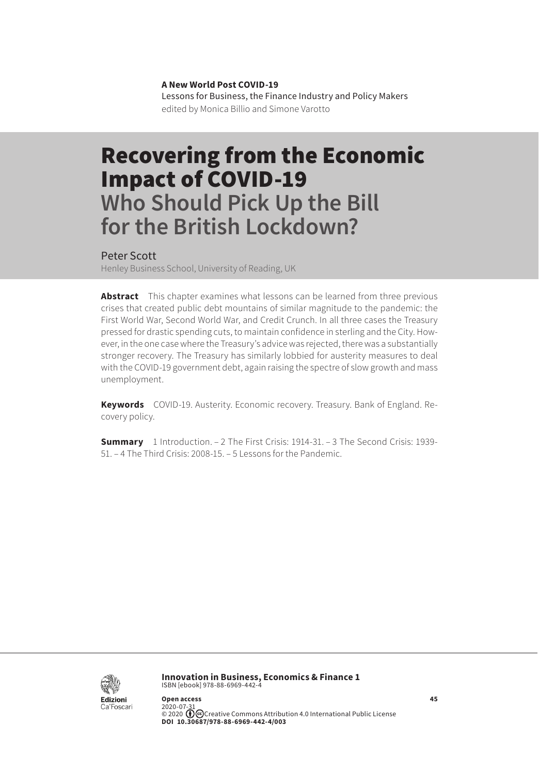**A New World Post COVID-19** Lessons for Business, the Finance Industry and Policy Makers edited by Monica Billio and Simone Varotto

# Recovering from the Economic Impact of COVID-19 **Who Should Pick Up the Bill for the British Lockdown?**

#### Peter Scott

Henley Business School, University of Reading, UK

**Abstract** This chapter examines what lessons can be learned from three previous crises that created public debt mountains of similar magnitude to the pandemic: the First World War, Second World War, and Credit Crunch. In all three cases the Treasury pressed for drastic spending cuts, to maintain confidence in sterling and the City. However, in the one case where the Treasury's advice was rejected, there was a substantially stronger recovery. The Treasury has similarly lobbied for austerity measures to deal with the COVID-19 government debt, again raising the spectre of slow growth and mass unemployment.

**Keywords** COVID-19. Austerity. Economic recovery. Treasury. Bank of England. Recovery policy.

**Summary** [1 Introduction.](#page-1-0) – [2 The First Crisis: 1914-31.](#page-1-0) – [3 The Second Crisis: 1939-](#page-3-0) [51.](#page-3-0) – [4 The Third Crisis: 2008-15](#page-5-0). – [5 Lessons for the Pandemic](#page-7-0).



**Innovation in Business, Economics & Finance 1** ISBN [ebook] 978-88-6969-442-4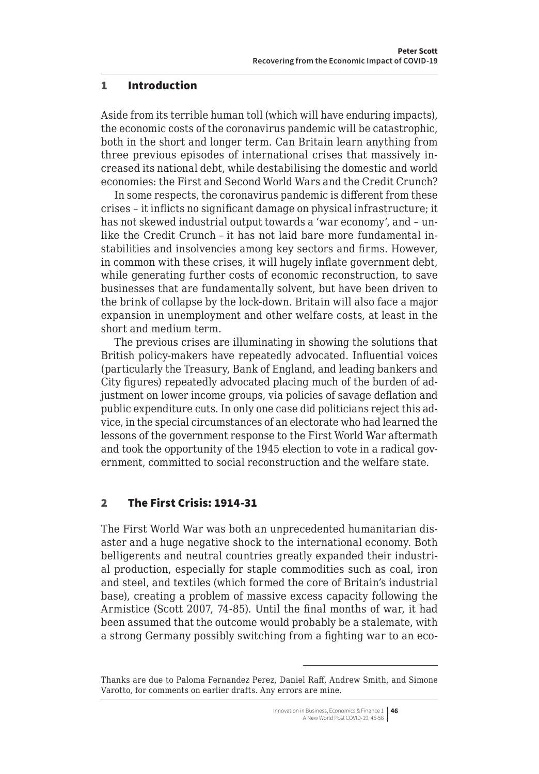#### <span id="page-1-0"></span>1 Introduction

Aside from its terrible human toll (which will have enduring impacts), the economic costs of the coronavirus pandemic will be catastrophic, both in the short and longer term. Can Britain learn anything from three previous episodes of international crises that massively increased its national debt, while destabilising the domestic and world economies: the First and Second World Wars and the Credit Crunch?

In some respects, the coronavirus pandemic is different from these crises – it inflicts no significant damage on physical infrastructure; it has not skewed industrial output towards a 'war economy', and – unlike the Credit Crunch – it has not laid bare more fundamental instabilities and insolvencies among key sectors and firms. However, in common with these crises, it will hugely inflate government debt, while generating further costs of economic reconstruction, to save businesses that are fundamentally solvent, but have been driven to the brink of collapse by the lock-down. Britain will also face a major expansion in unemployment and other welfare costs, at least in the short and medium term.

The previous crises are illuminating in showing the solutions that British policy-makers have repeatedly advocated. Influential voices (particularly the Treasury, Bank of England, and leading bankers and City figures) repeatedly advocated placing much of the burden of adjustment on lower income groups, via policies of savage deflation and public expenditure cuts. In only one case did politicians reject this advice, in the special circumstances of an electorate who had learned the lessons of the government response to the First World War aftermath and took the opportunity of the 1945 election to vote in a radical government, committed to social reconstruction and the welfare state.

# 2 The First Crisis: 1914-31

The First World War was both an unprecedented humanitarian disaster and a huge negative shock to the international economy. Both belligerents and neutral countries greatly expanded their industrial production, especially for staple commodities such as coal, iron and steel, and textiles (which formed the core of Britain's industrial base), creating a problem of massive excess capacity following the Armistice (Scott 2007, 74-85). Until the final months of war, it had been assumed that the outcome would probably be a stalemate, with a strong Germany possibly switching from a fighting war to an eco-

Thanks are due to Paloma Fernandez Perez, Daniel Raff, Andrew Smith, and Simone Varotto, for comments on earlier drafts. Any errors are mine.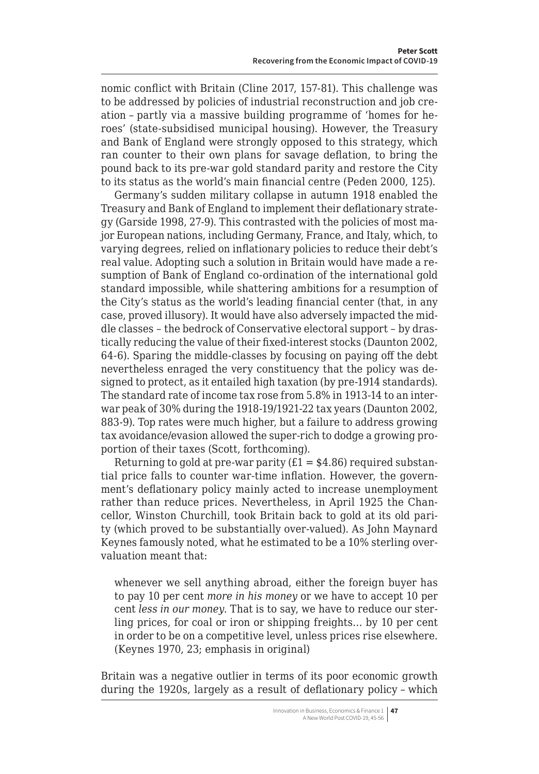nomic conflict with Britain (Cline 2017, 157-81). This challenge was to be addressed by policies of industrial reconstruction and job creation – partly via a massive building programme of 'homes for heroes' (state-subsidised municipal housing). However, the Treasury and Bank of England were strongly opposed to this strategy, which ran counter to their own plans for savage deflation, to bring the pound back to its pre-war gold standard parity and restore the City to its status as the world's main financial centre (Peden 2000, 125).

Germany's sudden military collapse in autumn 1918 enabled the Treasury and Bank of England to implement their deflationary strategy (Garside 1998, 27-9). This contrasted with the policies of most major European nations, including Germany, France, and Italy, which, to varying degrees, relied on inflationary policies to reduce their debt's real value. Adopting such a solution in Britain would have made a resumption of Bank of England co-ordination of the international gold standard impossible, while shattering ambitions for a resumption of the City's status as the world's leading financial center (that, in any case, proved illusory). It would have also adversely impacted the middle classes – the bedrock of Conservative electoral support – by drastically reducing the value of their fixed-interest stocks (Daunton 2002, 64-6). Sparing the middle-classes by focusing on paying off the debt nevertheless enraged the very constituency that the policy was designed to protect, as it entailed high taxation (by pre-1914 standards). The standard rate of income tax rose from 5.8% in 1913-14 to an interwar peak of 30% during the 1918-19/1921-22 tax years (Daunton 2002, 883-9). Top rates were much higher, but a failure to address growing tax avoidance/evasion allowed the super-rich to dodge a growing proportion of their taxes (Scott, forthcoming).

Returning to gold at pre-war parity ( $E1 = $4.86$ ) required substantial price falls to counter war-time inflation. However, the government's deflationary policy mainly acted to increase unemployment rather than reduce prices. Nevertheless, in April 1925 the Chancellor, Winston Churchill, took Britain back to gold at its old parity (which proved to be substantially over-valued). As John Maynard Keynes famously noted, what he estimated to be a 10% sterling overvaluation meant that:

whenever we sell anything abroad, either the foreign buyer has to pay 10 per cent *more in his money* or we have to accept 10 per cent *less in our money*. That is to say, we have to reduce our sterling prices, for coal or iron or shipping freights… by 10 per cent in order to be on a competitive level, unless prices rise elsewhere. (Keynes 1970, 23; emphasis in original)

Britain was a negative outlier in terms of its poor economic growth during the 1920s, largely as a result of deflationary policy – which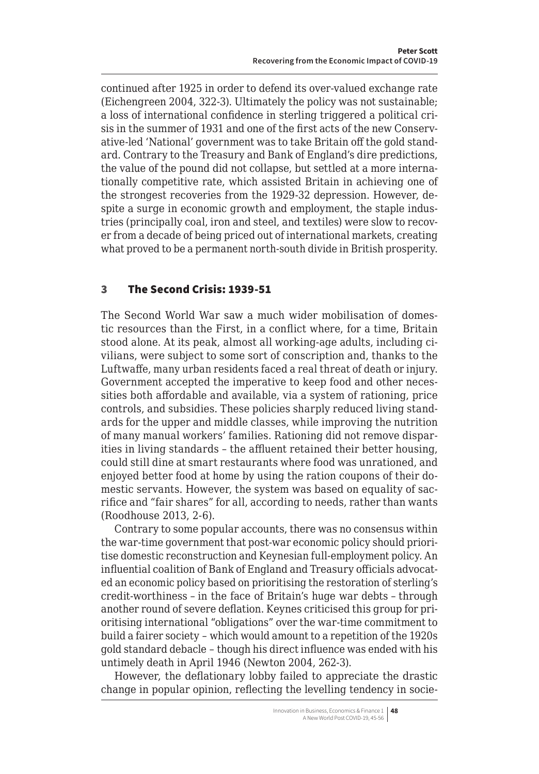<span id="page-3-0"></span>continued after 1925 in order to defend its over-valued exchange rate (Eichengreen 2004, 322-3). Ultimately the policy was not sustainable; a loss of international confidence in sterling triggered a political crisis in the summer of 1931 and one of the first acts of the new Conservative-led 'National' government was to take Britain off the gold standard. Contrary to the Treasury and Bank of England's dire predictions, the value of the pound did not collapse, but settled at a more internationally competitive rate, which assisted Britain in achieving one of the strongest recoveries from the 1929-32 depression. However, despite a surge in economic growth and employment, the staple industries (principally coal, iron and steel, and textiles) were slow to recover from a decade of being priced out of international markets, creating what proved to be a permanent north-south divide in British prosperity.

# 3 The Second Crisis: 1939-51

The Second World War saw a much wider mobilisation of domestic resources than the First, in a conflict where, for a time, Britain stood alone. At its peak, almost all working-age adults, including civilians, were subject to some sort of conscription and, thanks to the Luftwaffe, many urban residents faced a real threat of death or injury. Government accepted the imperative to keep food and other necessities both affordable and available, via a system of rationing, price controls, and subsidies. These policies sharply reduced living standards for the upper and middle classes, while improving the nutrition of many manual workers' families. Rationing did not remove disparities in living standards – the affluent retained their better housing, could still dine at smart restaurants where food was unrationed, and enjoyed better food at home by using the ration coupons of their domestic servants. However, the system was based on equality of sacrifice and "fair shares" for all, according to needs, rather than wants (Roodhouse 2013, 2-6).

Contrary to some popular accounts, there was no consensus within the war-time government that post-war economic policy should prioritise domestic reconstruction and Keynesian full-employment policy. An influential coalition of Bank of England and Treasury officials advocated an economic policy based on prioritising the restoration of sterling's credit-worthiness – in the face of Britain's huge war debts – through another round of severe deflation. Keynes criticised this group for prioritising international "obligations" over the war-time commitment to build a fairer society – which would amount to a repetition of the 1920s gold standard debacle – though his direct influence was ended with his untimely death in April 1946 (Newton 2004, 262-3).

However, the deflationary lobby failed to appreciate the drastic change in popular opinion, reflecting the levelling tendency in socie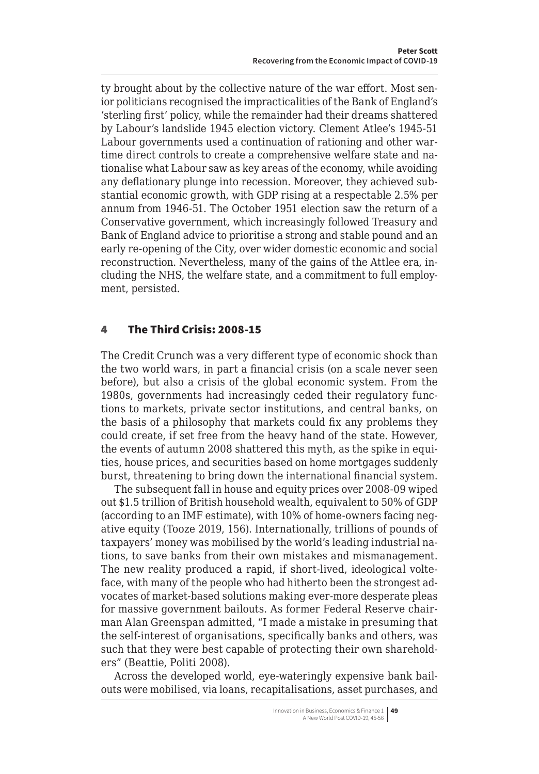ty brought about by the collective nature of the war effort. Most senior politicians recognised the impracticalities of the Bank of England's 'sterling first' policy, while the remainder had their dreams shattered by Labour's landslide 1945 election victory. Clement Atlee's 1945-51 Labour governments used a continuation of rationing and other wartime direct controls to create a comprehensive welfare state and nationalise what Labour saw as key areas of the economy, while avoiding any deflationary plunge into recession. Moreover, they achieved substantial economic growth, with GDP rising at a respectable 2.5% per annum from 1946-51. The October 1951 election saw the return of a Conservative government, which increasingly followed Treasury and Bank of England advice to prioritise a strong and stable pound and an early re-opening of the City, over wider domestic economic and social reconstruction. Nevertheless, many of the gains of the Attlee era, including the NHS, the welfare state, and a commitment to full employment, persisted.

# 4 The Third Crisis: 2008-15

The Credit Crunch was a very different type of economic shock than the two world wars, in part a financial crisis (on a scale never seen before), but also a crisis of the global economic system. From the 1980s, governments had increasingly ceded their regulatory functions to markets, private sector institutions, and central banks, on the basis of a philosophy that markets could fix any problems they could create, if set free from the heavy hand of the state. However, the events of autumn 2008 shattered this myth, as the spike in equities, house prices, and securities based on home mortgages suddenly burst, threatening to bring down the international financial system.

The subsequent fall in house and equity prices over 2008-09 wiped out \$1.5 trillion of British household wealth, equivalent to 50% of GDP (according to an IMF estimate), with 10% of home-owners facing negative equity (Tooze 2019, 156). Internationally, trillions of pounds of taxpayers' money was mobilised by the world's leading industrial nations, to save banks from their own mistakes and mismanagement. The new reality produced a rapid, if short-lived, ideological volteface, with many of the people who had hitherto been the strongest advocates of market-based solutions making ever-more desperate pleas for massive government bailouts. As former Federal Reserve chairman Alan Greenspan admitted, "I made a mistake in presuming that the self-interest of organisations, specifically banks and others, was such that they were best capable of protecting their own shareholders" (Beattie, Politi 2008).

Across the developed world, eye-wateringly expensive bank bailouts were mobilised, via loans, recapitalisations, asset purchases, and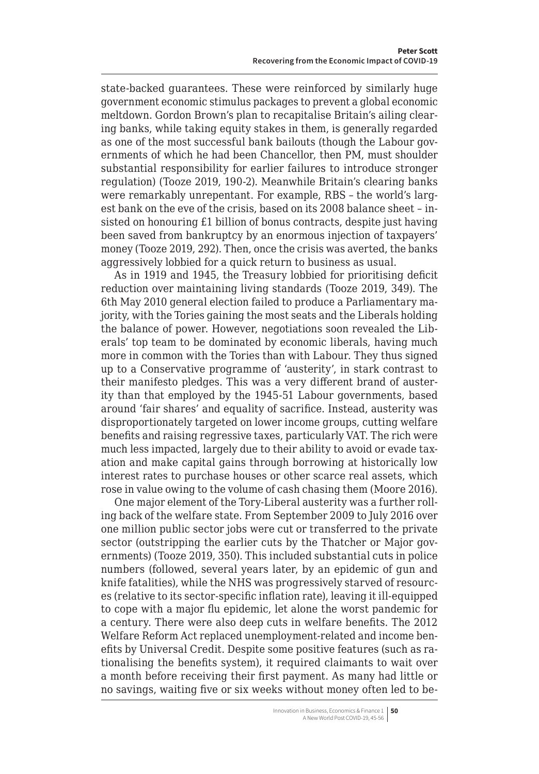<span id="page-5-0"></span>state-backed guarantees. These were reinforced by similarly huge government economic stimulus packages to prevent a global economic meltdown. Gordon Brown's plan to recapitalise Britain's ailing clearing banks, while taking equity stakes in them, is generally regarded as one of the most successful bank bailouts (though the Labour governments of which he had been Chancellor, then PM, must shoulder substantial responsibility for earlier failures to introduce stronger regulation) (Tooze 2019, 190-2). Meanwhile Britain's clearing banks were remarkably unrepentant. For example, RBS – the world's largest bank on the eve of the crisis, based on its 2008 balance sheet – insisted on honouring £1 billion of bonus contracts, despite just having been saved from bankruptcy by an enormous injection of taxpayers' money (Tooze 2019, 292). Then, once the crisis was averted, the banks aggressively lobbied for a quick return to business as usual.

As in 1919 and 1945, the Treasury lobbied for prioritising deficit reduction over maintaining living standards (Tooze 2019, 349). The 6th May 2010 general election failed to produce a Parliamentary majority, with the Tories gaining the most seats and the Liberals holding the balance of power. However, negotiations soon revealed the Liberals' top team to be dominated by economic liberals, having much more in common with the Tories than with Labour. They thus signed up to a Conservative programme of 'austerity', in stark contrast to their manifesto pledges. This was a very different brand of austerity than that employed by the 1945-51 Labour governments, based around 'fair shares' and equality of sacrifice. Instead, austerity was disproportionately targeted on lower income groups, cutting welfare benefits and raising regressive taxes, particularly VAT. The rich were much less impacted, largely due to their ability to avoid or evade taxation and make capital gains through borrowing at historically low interest rates to purchase houses or other scarce real assets, which rose in value owing to the volume of cash chasing them (Moore 2016).

One major element of the Tory-Liberal austerity was a further rolling back of the welfare state. From September 2009 to July 2016 over one million public sector jobs were cut or transferred to the private sector (outstripping the earlier cuts by the Thatcher or Major governments) (Tooze 2019, 350). This included substantial cuts in police numbers (followed, several years later, by an epidemic of gun and knife fatalities), while the NHS was progressively starved of resources (relative to its sector-specific inflation rate), leaving it ill-equipped to cope with a major flu epidemic, let alone the worst pandemic for a century. There were also deep cuts in welfare benefits. The 2012 Welfare Reform Act replaced unemployment-related and income benefits by Universal Credit. Despite some positive features (such as rationalising the benefits system), it required claimants to wait over a month before receiving their first payment. As many had little or no savings, waiting five or six weeks without money often led to be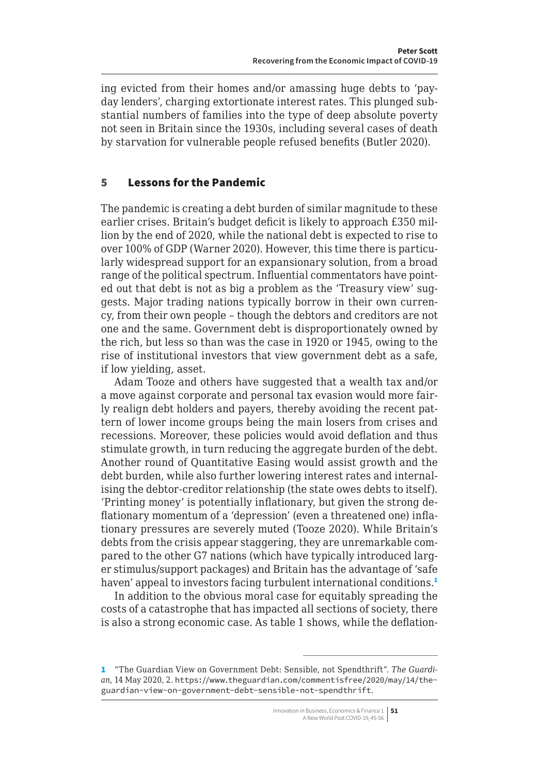ing evicted from their homes and/or amassing huge debts to 'payday lenders', charging extortionate interest rates. This plunged substantial numbers of families into the type of deep absolute poverty not seen in Britain since the 1930s, including several cases of death by starvation for vulnerable people refused benefits (Butler 2020).

## 5 Lessons for the Pandemic

The pandemic is creating a debt burden of similar magnitude to these earlier crises. Britain's budget deficit is likely to approach £350 million by the end of 2020, while the national debt is expected to rise to over 100% of GDP (Warner 2020). However, this time there is particularly widespread support for an expansionary solution, from a broad range of the political spectrum. Influential commentators have pointed out that debt is not as big a problem as the 'Treasury view' suggests. Major trading nations typically borrow in their own currency, from their own people – though the debtors and creditors are not one and the same. Government debt is disproportionately owned by the rich, but less so than was the case in 1920 or 1945, owing to the rise of institutional investors that view government debt as a safe, if low yielding, asset.

Adam Tooze and others have suggested that a wealth tax and/or a move against corporate and personal tax evasion would more fairly realign debt holders and payers, thereby avoiding the recent pattern of lower income groups being the main losers from crises and recessions. Moreover, these policies would avoid deflation and thus stimulate growth, in turn reducing the aggregate burden of the debt. Another round of Quantitative Easing would assist growth and the debt burden, while also further lowering interest rates and internalising the debtor-creditor relationship (the state owes debts to itself). 'Printing money' is potentially inflationary, but given the strong deflationary momentum of a 'depression' (even a threatened one) inflationary pressures are severely muted (Tooze 2020). While Britain's debts from the crisis appear staggering, they are unremarkable compared to the other G7 nations (which have typically introduced larger stimulus/support packages) and Britain has the advantage of 'safe haven' appeal to investors facing turbulent international conditions.<sup>1</sup>

In addition to the obvious moral case for equitably spreading the costs of a catastrophe that has impacted all sections of society, there is also a strong economic case. As table 1 shows, while the deflation-

<sup>1</sup> "The Guardian View on Government Debt: Sensible, not Spendthrift". *The Guardian*, 14 May 2020, 2. [https://www.theguardian.com/commentisfree/2020/may/14/the](https://www.theguardian.com/commentisfree/2020/may/14/the-guardian-view-on-government-debt-sensible-not-spendthrift)[guardian-view-on-government-debt-sensible-not-spendthrift](https://www.theguardian.com/commentisfree/2020/may/14/the-guardian-view-on-government-debt-sensible-not-spendthrift).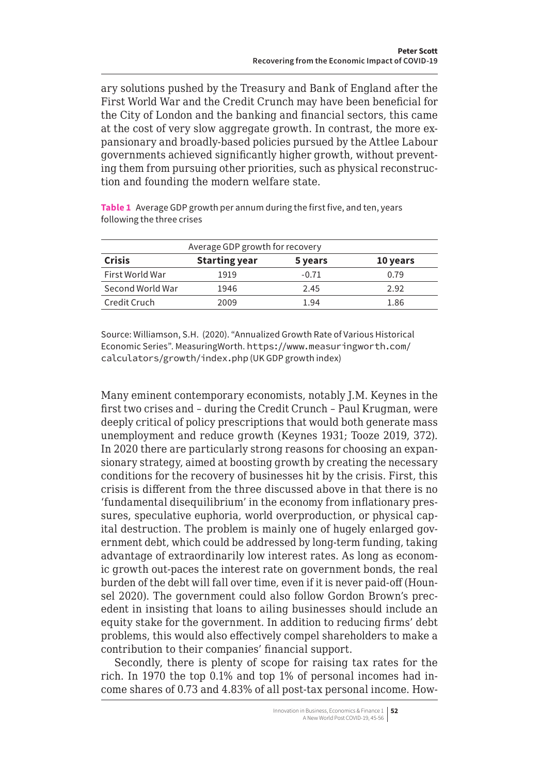<span id="page-7-0"></span>ary solutions pushed by the Treasury and Bank of England after the First World War and the Credit Crunch may have been beneficial for the City of London and the banking and financial sectors, this came at the cost of very slow aggregate growth. In contrast, the more expansionary and broadly-based policies pursued by the Attlee Labour governments achieved significantly higher growth, without preventing them from pursuing other priorities, such as physical reconstruction and founding the modern welfare state.

**Table 1** Average GDP growth per annum during the first five, and ten, years following the three crises

| Average GDP growth for recovery |                      |         |          |
|---------------------------------|----------------------|---------|----------|
| <b>Crisis</b>                   | <b>Starting year</b> | 5 years | 10 years |
| First World War                 | 1919                 | $-0.71$ | 0.79     |
| Second World War                | 1946                 | 2.45    | 2.92     |
| Credit Cruch                    | 2009                 | 1.94    | 1.86     |

Source: Williamson, S.H. (2020). "Annualized Growth Rate of Various Historical Economic Series". MeasuringWorth. https://www.measuringworth.com/ calculators/growth/index.php (UK GDP growth index)

Many eminent contemporary economists, notably J.M. Keynes in the first two crises and – during the Credit Crunch – Paul Krugman, were deeply critical of policy prescriptions that would both generate mass unemployment and reduce growth (Keynes 1931; Tooze 2019, 372). In 2020 there are particularly strong reasons for choosing an expansionary strategy, aimed at boosting growth by creating the necessary conditions for the recovery of businesses hit by the crisis. First, this crisis is different from the three discussed above in that there is no 'fundamental disequilibrium' in the economy from inflationary pressures, speculative euphoria, world overproduction, or physical capital destruction. The problem is mainly one of hugely enlarged government debt, which could be addressed by long-term funding, taking advantage of extraordinarily low interest rates. As long as economic growth out-paces the interest rate on government bonds, the real burden of the debt will fall over time, even if it is never paid-off (Hounsel 2020). The government could also follow Gordon Brown's precedent in insisting that loans to ailing businesses should include an equity stake for the government. In addition to reducing firms' debt problems, this would also effectively compel shareholders to make a contribution to their companies' financial support.

Secondly, there is plenty of scope for raising tax rates for the rich. In 1970 the top 0.1% and top 1% of personal incomes had income shares of 0.73 and 4.83% of all post-tax personal income. How-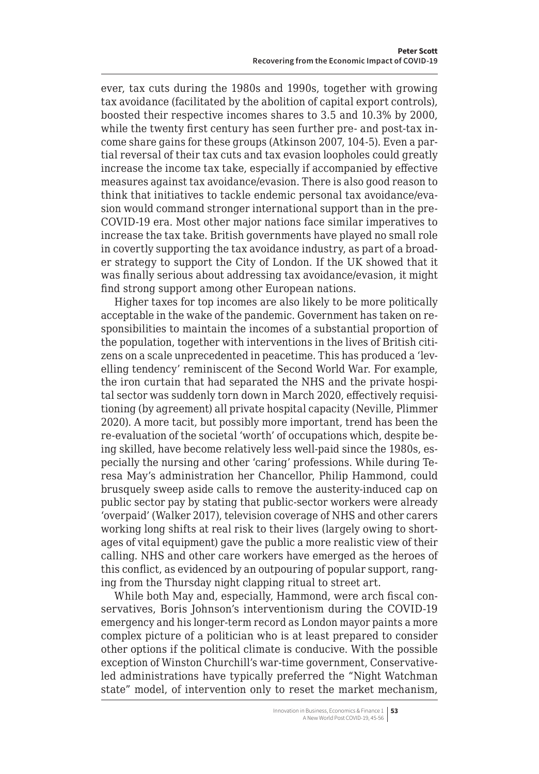ever, tax cuts during the 1980s and 1990s, together with growing tax avoidance (facilitated by the abolition of capital export controls), boosted their respective incomes shares to 3.5 and 10.3% by 2000, while the twenty first century has seen further pre- and post-tax income share gains for these groups (Atkinson 2007, 104-5). Even a partial reversal of their tax cuts and tax evasion loopholes could greatly increase the income tax take, especially if accompanied by effective measures against tax avoidance/evasion. There is also good reason to think that initiatives to tackle endemic personal tax avoidance/evasion would command stronger international support than in the pre-COVID-19 era. Most other major nations face similar imperatives to increase the tax take. British governments have played no small role in covertly supporting the tax avoidance industry, as part of a broader strategy to support the City of London. If the UK showed that it was finally serious about addressing tax avoidance/evasion, it might find strong support among other European nations.

Higher taxes for top incomes are also likely to be more politically acceptable in the wake of the pandemic. Government has taken on responsibilities to maintain the incomes of a substantial proportion of the population, together with interventions in the lives of British citizens on a scale unprecedented in peacetime. This has produced a 'levelling tendency' reminiscent of the Second World War. For example, the iron curtain that had separated the NHS and the private hospital sector was suddenly torn down in March 2020, effectively requisitioning (by agreement) all private hospital capacity (Neville, Plimmer 2020). A more tacit, but possibly more important, trend has been the re-evaluation of the societal 'worth' of occupations which, despite being skilled, have become relatively less well-paid since the 1980s, especially the nursing and other 'caring' professions. While during Teresa May's administration her Chancellor, Philip Hammond, could brusquely sweep aside calls to remove the austerity-induced cap on public sector pay by stating that public-sector workers were already 'overpaid' (Walker 2017), television coverage of NHS and other carers working long shifts at real risk to their lives (largely owing to shortages of vital equipment) gave the public a more realistic view of their calling. NHS and other care workers have emerged as the heroes of this conflict, as evidenced by an outpouring of popular support, ranging from the Thursday night clapping ritual to street art.

While both May and, especially, Hammond, were arch fiscal conservatives, Boris Johnson's interventionism during the COVID-19 emergency and his longer-term record as London mayor paints a more complex picture of a politician who is at least prepared to consider other options if the political climate is conducive. With the possible exception of Winston Churchill's war-time government, Conservativeled administrations have typically preferred the "Night Watchman state" model, of intervention only to reset the market mechanism,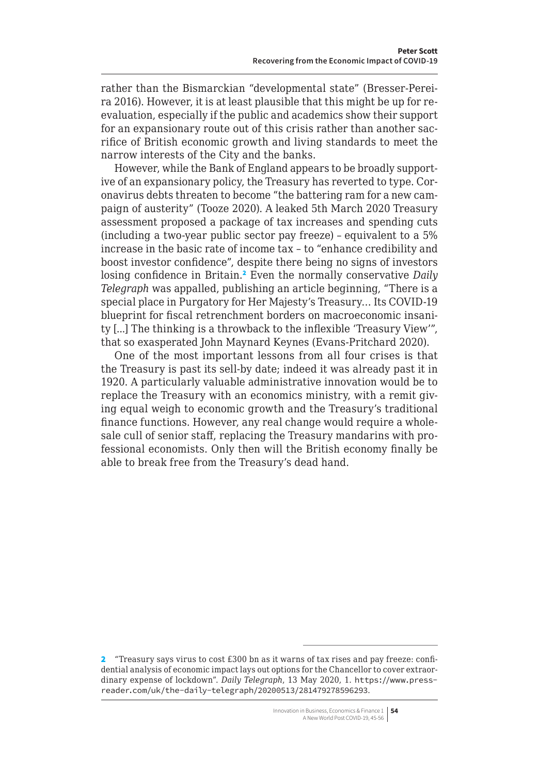rather than the Bismarckian "developmental state" (Bresser-Pereira 2016). However, it is at least plausible that this might be up for reevaluation, especially if the public and academics show their support for an expansionary route out of this crisis rather than another sacrifice of British economic growth and living standards to meet the narrow interests of the City and the banks.

However, while the Bank of England appears to be broadly supportive of an expansionary policy, the Treasury has reverted to type. Coronavirus debts threaten to become "the battering ram for a new campaign of austerity" (Tooze 2020). A leaked 5th March 2020 Treasury assessment proposed a package of tax increases and spending cuts (including a two-year public sector pay freeze) – equivalent to a 5% increase in the basic rate of income tax – to "enhance credibility and boost investor confidence", despite there being no signs of investors losing confidence in Britain.<sup>2</sup> Even the normally conservative *Daily Telegraph* was appalled, publishing an article beginning, "There is a special place in Purgatory for Her Majesty's Treasury… Its COVID-19 blueprint for fiscal retrenchment borders on macroeconomic insanity [...] The thinking is a throwback to the inflexible 'Treasury View'", that so exasperated John Maynard Keynes (Evans-Pritchard 2020).

One of the most important lessons from all four crises is that the Treasury is past its sell-by date; indeed it was already past it in 1920. A particularly valuable administrative innovation would be to replace the Treasury with an economics ministry, with a remit giving equal weigh to economic growth and the Treasury's traditional finance functions. However, any real change would require a wholesale cull of senior staff, replacing the Treasury mandarins with professional economists. Only then will the British economy finally be able to break free from the Treasury's dead hand.

<sup>2</sup> "Treasury says virus to cost £300 bn as it warns of tax rises and pay freeze: confidential analysis of economic impact lays out options for the Chancellor to cover extraordinary expense of lockdown". *Daily Telegraph*, 13 May 2020, 1. [https://www.press](https://www.pressreader.com/uk/the-daily-telegraph/20200513/281479278596293)[reader.com/uk/the-daily-telegraph/20200513/281479278596293](https://www.pressreader.com/uk/the-daily-telegraph/20200513/281479278596293).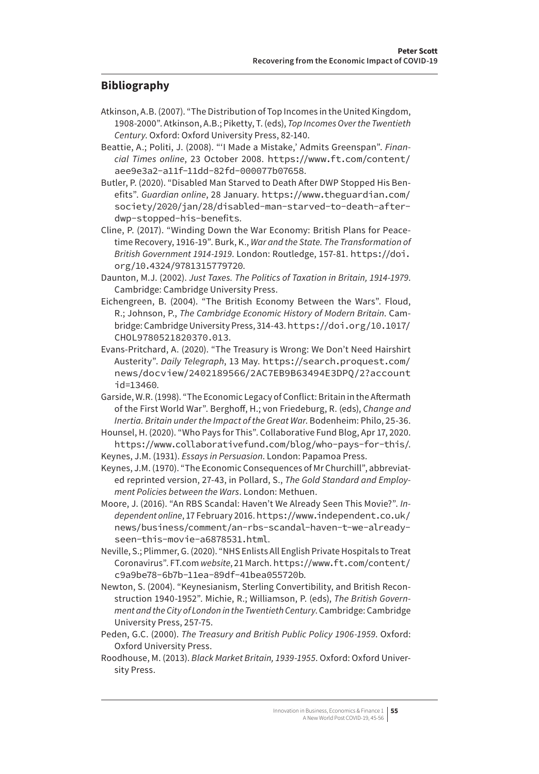## **Bibliography**

- Atkinson, A.B. (2007). "The Distribution of Top Incomes in the United Kingdom, 1908-2000". Atkinson, A.B.; Piketty, T. (eds), *Top Incomes Over the Twentieth Century*. Oxford: Oxford University Press, 82-140.
- Beattie, A.; Politi, J. (2008). "'I Made a Mistake,' Admits Greenspan". *Financial Times online*, 23 October 2008. [https://www.ft.com/content/](https://www.ft.com/content/aee9e3a2-a11f-11dd-82fd-000077b07658) [aee9e3a2-a11f-11dd-82fd-000077b07658](https://www.ft.com/content/aee9e3a2-a11f-11dd-82fd-000077b07658).
- Butler, P. (2020). "Disabled Man Starved to Death After DWP Stopped His Benefits". *Guardian online*, 28 January. [https://www.theguardian.com/](https://www.theguardian.com/society/2020/jan/28/disabled-man-starved-to-death-after-dwp-stopped-his-benefits) [society/2020/jan/28/disabled-man-starved-to-death-after](https://www.theguardian.com/society/2020/jan/28/disabled-man-starved-to-death-after-dwp-stopped-his-benefits)[dwp-stopped-his-benefits](https://www.theguardian.com/society/2020/jan/28/disabled-man-starved-to-death-after-dwp-stopped-his-benefits).
- Cline, P. (2017). "Winding Down the War Economy: British Plans for Peacetime Recovery, 1916-19". Burk, K., *War and the State. The Transformation of British Government 1914-1919*. London: Routledge, 157-81. [https://doi.](https://doi.org/10.4324/9781315779720) [org/10.4324/9781315779720](https://doi.org/10.4324/9781315779720).
- Daunton, M.J. (2002). *Just Taxes. The Politics of Taxation in Britain, 1914-1979*. Cambridge: Cambridge University Press.
- Eichengreen, B. (2004). "The British Economy Between the Wars". Floud, R.; Johnson, P., *The Cambridge Economic History of Modern Britain*. Cambridge: Cambridge University Press, 314-43. [https://doi.org/10.1017/](https://doi.org/10.1017/CHOL9780521820370.013) [CHOL9780521820370.013](https://doi.org/10.1017/CHOL9780521820370.013).
- Evans-Pritchard, A. (2020). "The Treasury is Wrong: We Don't Need Hairshirt Austerity". *Daily Telegraph*, 13 May. [https://search.proquest.com/](https://search.proquest.com/news/docview/2402189566/2AC7EB9B63494E3DPQ/2?accountid=13460) [news/docview/2402189566/2AC7EB9B63494E3DPQ/2?account](https://search.proquest.com/news/docview/2402189566/2AC7EB9B63494E3DPQ/2?accountid=13460) [id=13460](https://search.proquest.com/news/docview/2402189566/2AC7EB9B63494E3DPQ/2?accountid=13460).
- Garside, W.R. (1998). "The Economic Legacy of Conflict: Britain in the Aftermath of the First World War". Berghoff, H.; von Friedeburg, R. (eds), *Change and Inertia. Britain under the Impact of the Great War*. Bodenheim: Philo, 25-36.
- Hounsel, H. (2020). "Who Pays for This". Collaborative Fund Blog, Apr 17, 2020. <https://www.collaborativefund.com/blog/who-pays-for-this/>.
- Keynes, J.M. (1931). *Essays in Persuasion*. London: Papamoa Press.
- Keynes, J.M. (1970). "The Economic Consequences of Mr Churchill", abbreviated reprinted version, 27-43, in Pollard, S., *The Gold Standard and Employment Policies between the Wars*. London: Methuen.
- Moore, J. (2016). "An RBS Scandal: Haven't We Already Seen This Movie?". *Independent online*, 17 February 2016. [https://www.independent.co.uk/](https://www.independent.co.uk/news/business/comment/an-rbs-scandal-haven-t-we-already-seen-this-movie-a6878531.html) [news/business/comment/an-rbs-scandal-haven-t-we-already](https://www.independent.co.uk/news/business/comment/an-rbs-scandal-haven-t-we-already-seen-this-movie-a6878531.html)[seen-this-movie-a6878531.html](https://www.independent.co.uk/news/business/comment/an-rbs-scandal-haven-t-we-already-seen-this-movie-a6878531.html).
- Neville, S.; Plimmer, G. (2020). "NHS Enlists All English Private Hospitals to Treat Coronavirus". [FT.com](http://FT.com) *website*, 21 March. [https://www.ft.com/content/](https://www.ft.com/content/c9a9be78-6b7b-11ea-89df-41bea055720b) [c9a9be78-6b7b-11ea-89df-41bea055720b](https://www.ft.com/content/c9a9be78-6b7b-11ea-89df-41bea055720b).
- Newton, S. (2004). "Keynesianism, Sterling Convertibility, and British Reconstruction 1940-1952". Michie, R.; Williamson, P. (eds), *The British Government and the City of London in the Twentieth Century*. Cambridge: Cambridge University Press, 257-75.
- Peden, G.C. (2000). *The Treasury and British Public Policy 1906-1959*. Oxford: Oxford University Press.
- Roodhouse, M. (2013). *Black Market Britain, 1939-1955*. Oxford: Oxford University Press.